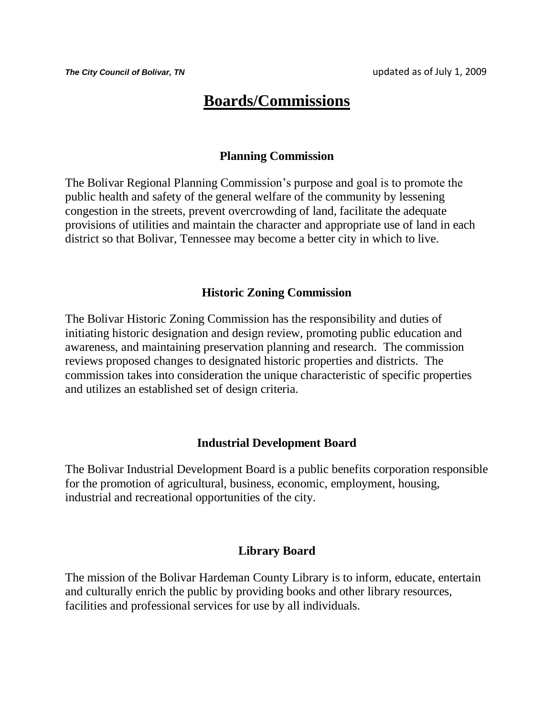# **Boards/Commissions**

#### **Planning Commission**

The Bolivar Regional Planning Commission's purpose and goal is to promote the public health and safety of the general welfare of the community by lessening congestion in the streets, prevent overcrowding of land, facilitate the adequate provisions of utilities and maintain the character and appropriate use of land in each district so that Bolivar, Tennessee may become a better city in which to live.

#### **Historic Zoning Commission**

The Bolivar Historic Zoning Commission has the responsibility and duties of initiating historic designation and design review, promoting public education and awareness, and maintaining preservation planning and research. The commission reviews proposed changes to designated historic properties and districts. The commission takes into consideration the unique characteristic of specific properties and utilizes an established set of design criteria.

#### **Industrial Development Board**

The Bolivar Industrial Development Board is a public benefits corporation responsible for the promotion of agricultural, business, economic, employment, housing, industrial and recreational opportunities of the city.

#### **Library Board**

The mission of the Bolivar Hardeman County Library is to inform, educate, entertain and culturally enrich the public by providing books and other library resources, facilities and professional services for use by all individuals.